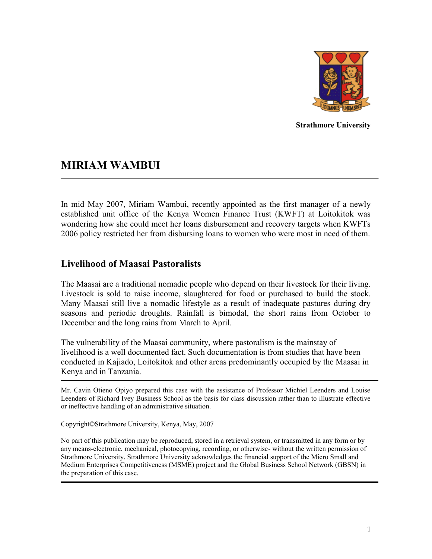

**Strathmore University** 

# **MIRIAM WAMBUI**

In mid May 2007, Miriam Wambui, recently appointed as the first manager of a newly established unit office of the Kenya Women Finance Trust (KWFT) at Loitokitok was wondering how she could meet her loans disbursement and recovery targets when KWFTs 2006 policy restricted her from disbursing loans to women who were most in need of them.

## **Livelihood of Maasai Pastoralists**

The Maasai are a traditional nomadic people who depend on their livestock for their living. Livestock is sold to raise income, slaughtered for food or purchased to build the stock. Many Maasai still live a nomadic lifestyle as a result of inadequate pastures during dry seasons and periodic droughts. Rainfall is bimodal, the short rains from October to December and the long rains from March to April.

The vulnerability of the Maasai community, where pastoralism is the mainstay of livelihood is a well documented fact. Such documentation is from studies that have been conducted in Kajiado, Loitokitok and other areas predominantly occupied by the Maasai in Kenya and in Tanzania.

Mr. Cavin Otieno Opiyo prepared this case with the assistance of Professor Michiel Leenders and Louise Leenders of Richard Ivey Business School as the basis for class discussion rather than to illustrate effective or ineffective handling of an administrative situation.

Copyright©Strathmore University, Kenya, May, 2007

No part of this publication may be reproduced, stored in a retrieval system, or transmitted in any form or by any means-electronic, mechanical, photocopying, recording, or otherwise- without the written permission of Strathmore University. Strathmore University acknowledges the financial support of the Micro Small and Medium Enterprises Competitiveness (MSME) project and the Global Business School Network (GBSN) in the preparation of this case.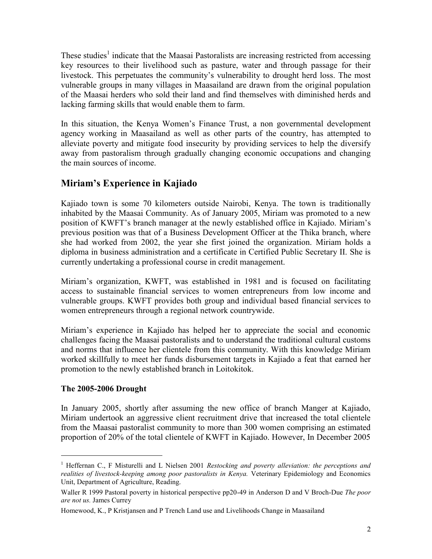These studies<sup>1</sup> indicate that the Maasai Pastoralists are increasing restricted from accessing key resources to their livelihood such as pasture, water and through passage for their livestock. This perpetuates the community's vulnerability to drought herd loss. The most vulnerable groups in many villages in Maasailand are drawn from the original population of the Maasai herders who sold their land and find themselves with diminished herds and lacking farming skills that would enable them to farm.

In this situation, the Kenya Women's Finance Trust, a non governmental development agency working in Maasailand as well as other parts of the country, has attempted to alleviate poverty and mitigate food insecurity by providing services to help the diversify away from pastoralism through gradually changing economic occupations and changing the main sources of income.

# **Miriam's Experience in Kajiado**

Kajiado town is some 70 kilometers outside Nairobi, Kenya. The town is traditionally inhabited by the Maasai Community. As of January 2005, Miriam was promoted to a new position of KWFT's branch manager at the newly established office in Kajiado. Miriam's previous position was that of a Business Development Officer at the Thika branch, where she had worked from 2002, the year she first joined the organization. Miriam holds a diploma in business administration and a certificate in Certified Public Secretary II. She is currently undertaking a professional course in credit management.

Miriam's organization, KWFT, was established in 1981 and is focused on facilitating access to sustainable financial services to women entrepreneurs from low income and vulnerable groups. KWFT provides both group and individual based financial services to women entrepreneurs through a regional network countrywide.

Miriam's experience in Kajiado has helped her to appreciate the social and economic challenges facing the Maasai pastoralists and to understand the traditional cultural customs and norms that influence her clientele from this community. With this knowledge Miriam worked skillfully to meet her funds disbursement targets in Kajiado a feat that earned her promotion to the newly established branch in Loitokitok.

## **The 2005-2006 Drought**

 $\overline{a}$ 

In January 2005, shortly after assuming the new office of branch Manger at Kajiado, Miriam undertook an aggressive client recruitment drive that increased the total clientele from the Maasai pastoralist community to more than 300 women comprising an estimated proportion of 20% of the total clientele of KWFT in Kajiado. However, In December 2005

<sup>1</sup> Heffernan C., F Misturelli and L Nielsen 2001 *Restocking and poverty alleviation: the perceptions and realities of livestock-keeping among poor pastoralists in Kenya.* Veterinary Epidemiology and Economics Unit, Department of Agriculture, Reading.

Waller R 1999 Pastoral poverty in historical perspective pp20-49 in Anderson D and V Broch-Due *The poor are not us.* James Currey

Homewood, K., P Kristjansen and P Trench Land use and Livelihoods Change in Maasailand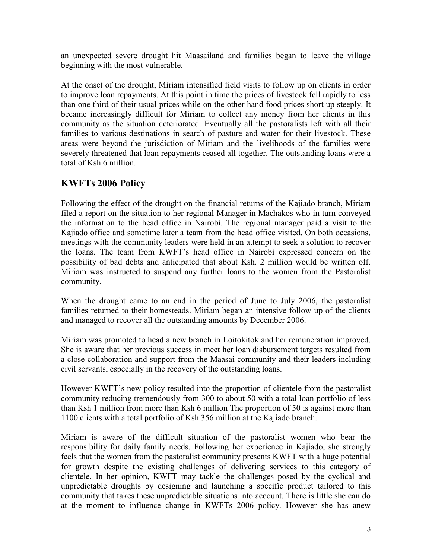an unexpected severe drought hit Maasailand and families began to leave the village beginning with the most vulnerable.

At the onset of the drought, Miriam intensified field visits to follow up on clients in order to improve loan repayments. At this point in time the prices of livestock fell rapidly to less than one third of their usual prices while on the other hand food prices short up steeply. It became increasingly difficult for Miriam to collect any money from her clients in this community as the situation deteriorated. Eventually all the pastoralists left with all their families to various destinations in search of pasture and water for their livestock. These areas were beyond the jurisdiction of Miriam and the livelihoods of the families were severely threatened that loan repayments ceased all together. The outstanding loans were a total of Ksh 6 million.

# **KWFTs 2006 Policy**

Following the effect of the drought on the financial returns of the Kajiado branch, Miriam filed a report on the situation to her regional Manager in Machakos who in turn conveyed the information to the head office in Nairobi. The regional manager paid a visit to the Kajiado office and sometime later a team from the head office visited. On both occasions, meetings with the community leaders were held in an attempt to seek a solution to recover the loans. The team from KWFT's head office in Nairobi expressed concern on the possibility of bad debts and anticipated that about Ksh. 2 million would be written off. Miriam was instructed to suspend any further loans to the women from the Pastoralist community.

When the drought came to an end in the period of June to July 2006, the pastoralist families returned to their homesteads. Miriam began an intensive follow up of the clients and managed to recover all the outstanding amounts by December 2006.

Miriam was promoted to head a new branch in Loitokitok and her remuneration improved. She is aware that her previous success in meet her loan disbursement targets resulted from a close collaboration and support from the Maasai community and their leaders including civil servants, especially in the recovery of the outstanding loans.

However KWFT's new policy resulted into the proportion of clientele from the pastoralist community reducing tremendously from 300 to about 50 with a total loan portfolio of less than Ksh 1 million from more than Ksh 6 million The proportion of 50 is against more than 1100 clients with a total portfolio of Ksh 356 million at the Kajiado branch.

Miriam is aware of the difficult situation of the pastoralist women who bear the responsibility for daily family needs. Following her experience in Kajiado, she strongly feels that the women from the pastoralist community presents KWFT with a huge potential for growth despite the existing challenges of delivering services to this category of clientele. In her opinion, KWFT may tackle the challenges posed by the cyclical and unpredictable droughts by designing and launching a specific product tailored to this community that takes these unpredictable situations into account. There is little she can do at the moment to influence change in KWFTs 2006 policy. However she has anew